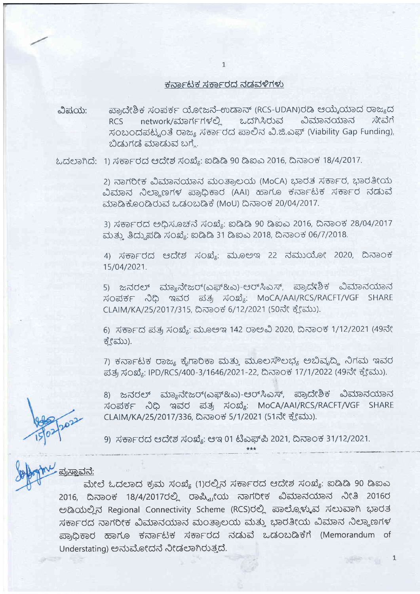## ಕರ್ನಾಟಕ ಸರ್ಕಾರದ ನಡವಳಿಗಳು

ಮಿಷ $\alpha$ ಯ: aso;c3r b r x' o ai <sup>r</sup>r o:o ( ac d-e/D euo J ( RCS - U DA ru ) <sup>C</sup>6 el oir\*olro d ooar, d RCS network/ಮಾರ್ಗಗಳಲ್ಲಿ ಒದಗಿಸಿರುವ ವಿಮಾನಯಾನ ಸಂಬಂದಪಟ್ಟಂತೆ ರಾಜ್ಯ ಸರ್ಕಾರದ ಪಾಲಿನ ವಿ.ಜಿ.ಎಫ್ (Viability Gap Funding), ಬಿಡುಗಡೆ ಮಾಡುವ ಬಗ್ಮೆ.

ಓದಲಾಗಿದೆ: 1) ಸರ್ಕಾರದ ಆದೇಶ ಸಂಖ್ಯೆ: ಐಡಿಡಿ 90 ಡಿಐಎ 2016, ದಿನಾಂಕ 18/4/2017.

2) ನಾಗರೀಕ ವಿಮಾನಯಾನ ಮಂತ್ರಾಲಯ (MoCA) ಭಾರತ ಸರ್ಕಾರ, ಭಾರತೀಯ ವಿಮಾನ ನಿಲ್ದಾಣಗಳ ಪ್ರಾಧಿಕಾರ (AAI) ಹಾಗೂ ಕರ್ನಾಟಕ ಸರ್ಕಾರ ನಡುವೆ ಮಾಡಿಕೊಂಡಿರುವ ಒಡಂಬಡಿಕೆ (MoU) ದಿನಾಂಕ 20/04/2017.

3) ಸರ್ಕಾರದ ಅಧಿಸೂಚನೆ ಸಂಖ್ಯೆ: ಐಡಿಡಿ 90 ಡಿಐಎ 2016, ದಿನಾಂಕ 28/04/2017 ಮತ್ತು ತಿದ್ದುಪಡಿ ಸಂಖ್ಯೆ: ಐಡಿಡಿ 31 ಡಿಐಎ 2018, ದಿನಾಂಕ 06/7/2018.

4) ಸರ್ಕಾರದ ಆದೇಶ ಸಂಖ್ಯೆ: ಮೂಅಇ 22 ನಮುಯೋ 2020, ದಿನಾಂಕ 1s/04/2021.

5) ಜನರಲ್ ಮ್ಯಾನೇಜರ್(ಎಫ್&ಎ)-ಆರ್ಸಿಎಸ್, ಪ್ರಾದೇಶಿಕ ವಿಮಾನಯಾನ ಸಂಪರ್ಕ ನಿಧಿ ಇವರ ಪತ್ರ ಸಂಖ್ಯೆ: MoCA/AAI/RCS/RACFT/VGF SHARE CLAIM/KA/25/2017/315, ದಿನಾಂಕ 6/12/2021 (50ನೇ ಕ್ಲೇಮು).

6) ಸರ್ಕಾದ ಪತ್ರ ಸಂಖ್ಯೆ: ಮೂಅಇ 142 ರಾಅವಿ 2020, ದಿನಾಂಕ 1/12/2021 (49ನೇ ಕ್ಕೇಮು).

7) ಕರ್ನಾಟಕ ರಾಜ್ಯ ಕೈಗಾರಿಕಾ ಮತ್ತು ಮೂಲಸೌಲಭ್ಯ ಅಬಿವೃದ್ಧಿ ನಿಗಮ ಇವರ ಪತ್ರ ಸಂಖ್ಯೆ: IPD/RCS/400-3/1646/2021-22, ದಿನಾಂಕ 17/1/2022 (49ನೇ ಕ್ಲೇಮು).

8) ಜನರಲ್ ಮ್ಯಾನೇಜರ್(ಎಫ್&ಎ)-ಆರ್ಸಿಎಸ್, ಪ್ರಾದೇಶಿಕ ವಿಮಾನಯಾನ ಸಂಪರ್ಕ ನಿಧಿ ಇವರ ಪತ್ರ ಸಂಖ್ಯೆ: MoCA/AAI/RCS/RACFT/VGF SHARE CLAIM/KA/25/2017/336, ದಿನಾಂಕ 5/1/2021 (51ನೇ ಕ್ಲೇಮು).

 $\mathbf{1}$ 

**WARD SIGN** 

9) ಸರ್ಕಾರದ ಆದೇಶ ಸಂಖ್ಯೆ: ಆಇ 01 ಟಿಎಫ್ಪಿ 2021, ದಿನಾಂಕ 31/12/2021.

ಪ್ರಸಾವನ:

ಮೇಲೆ ಓದಲಾದ ಕ್ರಮ ಸಂಖ್ಯೆ (1)ರಲ್ಲಿನ ಸರ್ಕಾರದ ಆದೇಶ ಸಂಖ್ಯೆ: ಐಡಿಡಿ 90 ಡಿಐಎ 2016, ದಿನಾಂಕ 18/4/2017ರಲ್ಲಿ ರಾಷ್ಟ್ರೀಯ ನಾಗರೀಕ ವಿಮಾನಯಾನ ನೀತಿ 2016ರ ಅಡಿಯಲ್ಲಿನ Regional Connectivity Scheme (RCS)ರಲ್ಲಿ ಪಾಲ್ಗೊಳ್ಳುವ ಸಲುವಾಗಿ ಭಾರತ ಸರ್ಕಾರದ ನಾಗರೀಕ ವಿಮಾನಯಾನ ಮಂತ್ರಾಲಯ ಮತ್ತು ಭಾರತೀಯ ವಿಮಾನ ನಿಲ್ಲಾಣಗಳ ಪ್ರಾಧಿಕಾರ ಹಾಗೂ ಕರ್ನಾಟಕ ಸರ್ಕಾರದ ನಡುವೆ ಒಡಂಬಡಿಕೆಗೆ (Memorandum of Understating) ಅನುಮೋದನೆ ನೀಡಲಾಗಿರುತ್ತದೆ.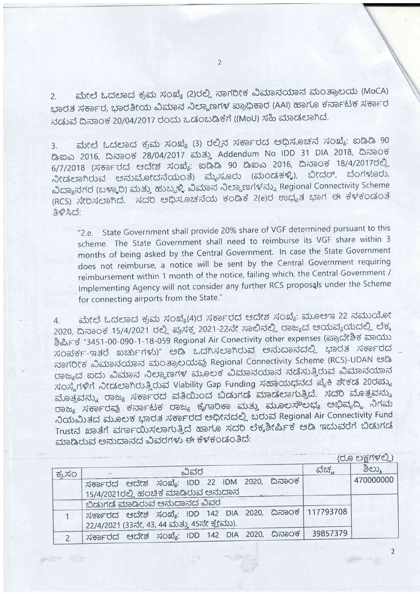ಮೇಲೆ ಓದಲಾದ ಕ್ರಮ ಸಂಖ್ಯೆ (2)ರಲ್ಲಿ ನಾಗರೀಕ ವಿಮಾನಯಾನ ಮಂತ್ರಾಲಯ (MoCA)  $2.$ ಭಾರತ ಸರ್ಕಾರ, ಭಾರತೀಯ ವಿಮಾನ ನಿಲ್ದಾಣಗಳ ಪ್ರಾಧಿಕಾರ (AAI) ಹಾಗೂ ಕರ್ನಾಟಕ ಸರ್ಕಾರ ನಡುವೆ ದಿನಾಂಕ 20/04/2017 ರಂದು ಒಡಂಬಡಿಕೆಗೆ ((MoU) ಸಹಿ ಮಾಡಲಾಗಿದೆ.

ಮೇಲೆ ಓದಲಾದ ಕ್ರಮ ಸಂಖ್ಯೆ (3) ರಲ್ಲಿನ ಸರ್ಕಾರದ ಅಧಿಸೂಚನೆ ಸಂಖ್ಯೆ: ಐಡಿಡಿ 90  $3.$ ಡಿಐಎ 2016, ದಿನಾಂಕ 28/04/2017 ಮತ್ತು Addendum No IDD 31 DIA 2018, ದಿನಾಂಕ 6/7/2018 (ಸರ್ಕಾರದ ಆದೇಶ ಸಂಖ್ಯೆ: ಐಡಿಡಿ 90 ಡಿಐಎ 2016, ದಿನಾಂಕ 18/4/2017ರಲ್ಲಿ ನೀಡಲಾಗಿರುವ ಅನುಮೋದನೆಯಂತೆ) ಮೈಸೂರು (ಮಂಡಕಳ್ಳಿ), ಬೀದರ್, ಬೆಂಗಳೂರು, ವಿದ್ಯಾನಗರ (ಬಳ್ಳಾರಿ) ಮತ್ತು ಹುಬ್ಬಳ್ಳಿ ವಿಮಾನ ನಿಲ್ದಾಣಗಳನ್ನು Regional Connectivity Scheme (RCS) ಸೇರಿಸಲಾಗಿದೆ. ಸದರಿ ಅಧಿಸೂಚನೆಯ ಕಂಡಿಕೆ 2(e)ರ ಉಧ್ಯತ ಭಾಗ ಈ ಕೆಳಕಂಡಂತೆ ತಿಳಿಸಿದೆ:

"2.e. State Government shall provide 20% share of VGF determined pursuant to this scheme. The State Government shall need to reimburse its VGF share within 3 months of being asked by the Central Government. In case the State Government does not reimburse, a notice will be sent by the Central Government requiring reimbursement within 1 month of the notice, failing which, the Central Government / Implementing Agency will not consider any further RCS proposals under the Scheme for connecting airports from the State."

ಮೇಲೆ ಓದಲಾದ ಕ್ರಮ ಸಂಖ್ಯೆ(4)ರ ಸರ್ಕಾರದ ಆದೇಶ ಸಂಖ್ಯೆ: ಮೂಅಇ 22 ನಮುಯೋ  $4.$ 2020, ದಿನಾಂಕ 15/4/2021 ರಲ್ಲಿ ಪ್ರಸಕ್ತ 2021-22ನೇ ಸಾಲಿನಲ್ಲಿ ರಾಜ್ಯದ ಅಯವ್ಯಯದಲ್ಲಿ ಲೆಕ್ಕ ಶಿರ್ಷಿಕೆ "3451-00-090-1-18-059 Regional Air Conectivity other expenses (ಪ್ರಾದೇಶಿಕ ವಾಯು ಸಂಪರ್ಕ-ಇತರೆ ಖರ್ಚುಗಳು)" ಅಡಿ ಒದಗಿಸಲಾಗಿರುವ ಅನುದಾನದಲ್ಲಿ ಭಾರತ ಸರ್ಕಾರದ ನಾಗರೀಕ ವಿಮಾನಯಾನ ಮಂತ್ರಾಲಯವು Regional Connectivity Scheme (RCS)-UDAN ಅಡಿ ರಾಜ್ಯದ ಐದು ವಿಮಾನ ನಿಲ್ದಾಣಗಳ ಮೂಲಕ ವಿಮಾನಯಾನ ನಡೆಸುತ್ತಿರುವ ವಿಮಾನಯಾನ ಸಂಸ್ಥೆಗಳಿಗೆ ನೀಡಲಾಗಿರುತ್ತಿರುವ Viability Gap Funding ಸಹಾಯಧನದ ಪೈಕಿ ಶೇಕಡ 20ರಷ್ಟು ಮೊತ್ತವನ್ನು ರಾಜ್ಯ ಸರ್ಕಾರದ ವತಿಯಿಂದ ಬಿಡುಗಡೆ ಮಾಡಲಾಗುತ್ತಿದೆ. ಸದರಿ ಮೊತ್ತವನ್ನು ರಾಜ್ಯ ಸರ್ಕಾರವು ಕರ್ನಾಟಕ ರಾಜ್ಯ ಕೈಗಾರಿಕಾ ಮತ್ತು ಮೂಲಸೌಲಭ್ಯ ಅಭಿವೃದ್ಧಿ ನಿಗಮ ನಿಯಮಿತದ ಮೂಲಕ ಭಾರತ ಸರ್ಕಾರದ ಅಧೀನದಲ್ಲಿ ಬರುವ Regional Air Connectivity Fund Trustನ ಖಾತೆಗೆ ವರ್ಗಾಯಿಸಲಾಗುತ್ತಿದೆ ಹಾಗೂ ಸದರಿ ಲೆಕ್ಕಶೀರ್ಷಿಕೆ ಅಡಿ ಇದುವರೆಗೆ ಬಿಡುಗಡೆ ಮಾಡಿರುವ ಅನುದಾನದ ವಿವರಗಳು ಈ ಕೆಳಕಂಡಂತಿದೆ:

|        |                                                             |          | (ರೂ ಲಕ್ಷಗಳಲ್ಲಿ) |
|--------|-------------------------------------------------------------|----------|-----------------|
| ಕ್ರ.ಸಂ | ವಿವರ                                                        | ವೆಚ್ಚ    | ತಿಲ್ಲು          |
|        | ಸರ್ಕಾರದ ಆದೇಶ ಸಂಖ್ಯೆ: IDD 22 IDM 2020, ದಿನಾಂಕ                |          | 470000000       |
|        | 15/4/2021ರಲ್ಲಿ ಹಂಚಿಕೆ ಮಾಡಿರುವ ಅನುದಾನ                        |          |                 |
|        | ಬಿಡುಗಡೆ ಮಾಡಿರುವ ಅನುದಾನದ ವಿವರ                                |          |                 |
|        | ' ಸರ್ಕಾರದ ಆದೇಶ ಸಂಖ್ಯೆ: IDD 142 DIA 2020, ದಿನಾಂಕ   117793708 |          |                 |
|        | 22/4/2021 (33ನೇ, 43, 44 ಮತ್ತು 45ನೇ ಕ್ಲೇಮು).                 |          |                 |
|        | 'ಸರ್ಕಾರದ ಆದೇಶ ಸಂಖ್ಯೆ: IDD 142 DIA 2020, ದಿನಾಂಕ              | 39857379 |                 |
|        |                                                             |          |                 |

 $\overline{2}$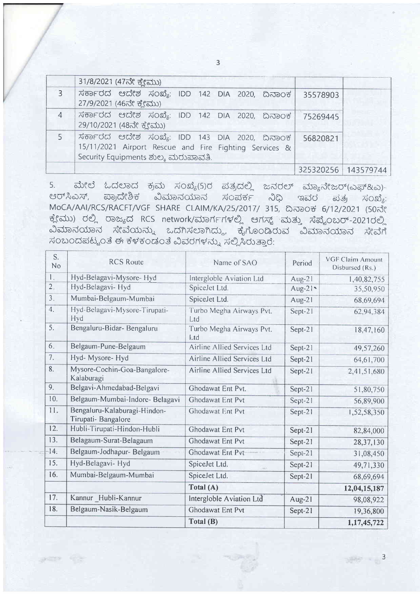|                | 31/8/2021 (47ನೇ ಕ್ಷೇಮು)                                                                                                                        |          |                     |
|----------------|------------------------------------------------------------------------------------------------------------------------------------------------|----------|---------------------|
| 3              | ಸರ್ಕಾರದ ಆದೇಶ ಸಂಖ್ಯೆ: IDD 142 DIA 2020, ದಿನಾಂಕ <br>27/9/2021 (46ನೇ ಕ್ಷೇಮು)                                                                      | 35578903 |                     |
| $\overline{4}$ | ಸರ್ಕಾರದ ಆದೇಶ ಸಂಖ್ಯೆ: IDD 142 DIA 2020, ದಿನಾಂಕ <br>29/10/2021 (48ನೇ ಕ್ಲೇಮು)                                                                     | 75269445 |                     |
|                | ಸರ್ಕಾರದ ಆದೇಶ ಸಂಖ್ಯೆ: IDD 143 DIA 2020, ದಿನಾಂಕ<br>15/11/2021 Airport Rescue and Fire Fighting Services &<br>Security Equipments ಶುಲ್ಕ ಮರುಪಾವತಿ. | 56820821 |                     |
|                |                                                                                                                                                |          | 325320256 143579744 |

ಮೇಲೆ ಓದಲಾದ ಕ್ರಮ ಸಂಖ್ಯೆ(5)ರ ಪತ್ರದಲ್ಲಿ ಜನರಲ್ ಮ್ಯಾನೇಜರ್(ಎಫ್&ಎ)- $5.$ ಆರ್ಸಿಎಸ್, ಪ್ರಾದೇಶಿಕ ವಿಮಾನಯಾನ ಸಂಪರ್ಕ ನಿಧಿ ಇವರ ಪತ್ರ ಸಂಖ್ಯೆ: MoCA/AAI/RCS/RACFT/VGF SHARE CLAIM/KA/25/2017/ 315, ದಿನಾಂಕ 6/12/2021 (50ನೇ ಕ್ಲೇಮು) ರಲ್ಲಿ ರಾಜ್ಯದ RCS network/ಮಾರ್ಗಗಳಲ್ಲಿ ಆಗಸ್ಟ್ ಮತ್ತು ಸೆಪ್ಟೆಂಬರ್-2021ರಲ್ಲಿ ವಿಮಾನಯಾನ ಸೇವೆಯನ್ನು ಒದಗಿಸಲಾಗಿದ್ದು, ಕೈಗೊಂಡಿರುವ ವಿಮಾನಯಾನ ಸೇವೆಗೆ ಸಂಬಂದಪಟ್ಟಂತೆ ಈ ಕೆಳಕಂಡಂತೆ ವಿವರಗಳನ್ನು ಸಲ್ಲಿಸಿರುತ್ತಾರೆ:

| S.<br>N <sub>o</sub> | <b>RCS Route</b>                                   | Name of SAO                            | Period    | <b>VGF Claim Amount</b><br>Disbursed (Rs.) |
|----------------------|----------------------------------------------------|----------------------------------------|-----------|--------------------------------------------|
| 1.                   | Hyd-Belagavi-Mysore- Hyd                           | Intergloble Aviation Ltd               | $Aug-21$  | 1,40,82,755                                |
| 2.                   | Hyd-Belagavi- Hyd                                  | SpiceJet Ltd.                          | $Aug-21$  | 35,50,950                                  |
| 3.                   | Mumbai-Belgaum-Mumbai                              | SpiceJet Ltd.                          | Aug- $21$ | 68,69,694                                  |
| 4.                   | Hyd-Belagavi-Mysore-Tirupati-<br>Hyd               | Turbo Megha Airways Pvt.<br>Ltd        | Sept-21   | 62,94,384                                  |
| 5.                   | Bengaluru-Bidar- Bengaluru                         | Turbo Megha Airways Pvt.<br><b>Ltd</b> | Sept-21   | 18,47,160                                  |
| 6.                   | Belgaum-Pune-Belgaum                               | Airline Allied Services Ltd            | Sept-21   | 49,57,260                                  |
| 7.                   | Hyd- Mysore- Hyd                                   | Airline Allied Services Ltd            | Sept-21   | 64,61,700                                  |
| 8.                   | Mysore-Cochin-Goa-Bangalore-<br>Kalaburagi         | Airline Allied Services Ltd            | Sept-21   | 2,41,51,680                                |
| 9.                   | Belgavi-Ahmedabad-Belgavi                          | Ghodawat Ent Pvt.                      | Sept-21   | 51,80,750                                  |
| 10.                  | Belgaum-Mumbai-Indore- Belagavi                    | Ghodawat Ent Pvt                       | $Sept-21$ | 56,89,900                                  |
| 11.                  | Bengaluru-Kalaburagi-Hindon-<br>Tirupati-Bangalore | <b>Ghodawat Ent Pvt</b>                | Sept-21   | 1,52,58,350                                |
| 12.                  | Hubli-Tirupati-Hindon-Hubli                        | Ghodawat Ent Pvt                       | Sept-21   | 82,84,000                                  |
| 13.                  | Belagaum-Surat-Belagaum                            | <b>Ghodawat Ent Pvt</b>                | Sept-21   | 28, 37, 130                                |
| $-14.$               | Belgaum-Jodhapur- Belgaum                          | Ghodawat Ent Pvt                       | Sept-21   | 31,08,450                                  |
| 15.                  | Hyd-Belagavi- Hyd                                  | SpiceJet Ltd.                          | Sept-21   | 49,71,330                                  |
| 16.                  | Mumbai-Belgaum-Mumbai                              | SpiceJet Ltd.                          | Sept-21   | 68,69,694                                  |
|                      |                                                    | Total (A)                              |           | 12,04,15,187                               |
| 17.                  | Kannur Hubli-Kannur                                | Intergloble Aviation Ltd               | $Aug-21$  | 98,08,922                                  |
| 18.                  | Belgaum-Nasik-Belgaum                              | Ghodawat Ent Pvt                       | Sept-21   | 19,36,800                                  |
|                      |                                                    | Total (B)                              |           | 1, 17, 45, 722                             |

 $\frac{1}{2}$ 

 $\overline{3}$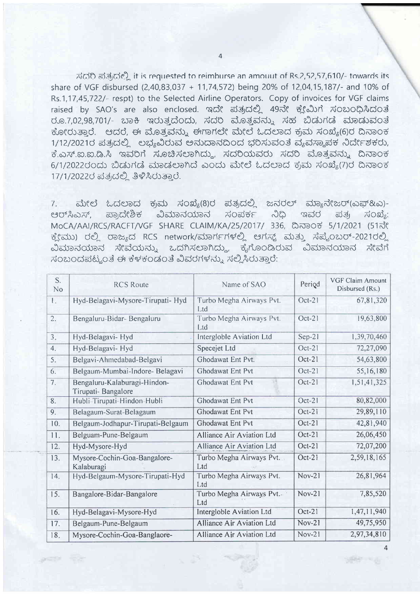ಸ್ಥದರಿ ಪ್ರತ್ಯದಲ್ಲಿ it is requested to reimburse an amount of Rs.2,52,57,610/- towards its share of VGF disbursed (2,40,83,037 + 11,74,572) being 20% of 12,04,15,187/- and 10% of Rs.1,17,45,722/- respt) to the Selected Airline Operators. Copy of invoices for VGF claims raised by SAO's are also enclosed. ಇದೇ ಪತ್ರದಲ್ಲಿ 49ನೇ ಕ್ಲೇಮಿಗೆ ಸಂಬಂಧಿಸಿದಂತೆ ರೂ.7.02.98.701/- ಬಾಕಿ ಇರುತ್ತದೆಂದು, ಸದರಿ ಮೊತ್ತವು, ಸಹ ಬಿಡುಗಡೆ ಮಾಡುವಂತೆ ಕೋರುತಾರೆ. ಆದರೆ, ಈ ಮೊತ್ತವನ್ನು ಈಗಾಗಲೇ ಮೇಲೆ ಓದಲಾದ ಕ್ರಮ ಸಂಖ್ಯೆ(6)ರ ದಿನಾಂಕ 1/12/2021ರ ಪತ್ರದಲ್ಲಿ ಲಭ್ಯವಿರುವ ಅನುದಾನದಿಂದ ಭರಿಸುವಂತೆ ವ್ಯವಸ್ಥಾಪಕ ನಿರ್ದೇಶಕರು, ಕೆ.ಎಸ್.ಐ.ಐ.ಡಿ.ಸಿ ಇವರಿಗೆ ಸೂಚಿಸಲಾಗಿದ್ದು, ಸದರಿಯವರು ಸದರಿ ಮೊತ್ತವನ್ನು ದಿನಾಂಕ 6/1/2022ರಂದು ಬಿಡುಗಡೆ ಮಾಡಲಾಗಿದೆ ಎಂದು ಮೇಲೆ ಓದಲಾದ ಕ್ರಮ ಸಂಖ್ಯೆ(7)ರ ದಿನಾಂಕ 17/1/2022ರ ಪತ್ರದಲ್ಲಿ ತಿಳಿಸಿರುತ್ತಾರೆ.

ಮೇಲೆ ಓದಲಾದ ಕ್ರಮ ಸಂಖ್ಯೆ(8)ರ ಪತ್ರದಲ್ಲಿ ಜನರಲ್ ಮ್ಯಾನೇಜರ್(ಎಫ್&ಎ)- $7.$ ಪ್ರಾದೇಶಿಕ ವಿಮಾನಯಾನ ಸಂಪರ್ಕ ನಿಧಿ ಇವರ  $\vec{a}$ ಆರ್ಸಿಎಸ್. ಪತ್ರ MoCA/AAI/RCS/RACFT/VGF SHARE CLAIM/KA/25/2017/ 336, ದಿನಾಂಕ 5/1/2021 (51ನೇ ಕ್ಷೇಮು) ರಲ್ಲಿ ರಾಜ್ಯದ RCS network/ಮಾರ್ಗಗಳಲ್ಲಿ ಆಗಸ್ಟ್ ಮತ್ತು ಸೆಪ್ಟೆಂಬರ್-2021ರಲ್ಲಿ ವಿಮಾನಯಾನ ಸೇವೆಯನ್ನು ಒದಗಿಸಲಾಗಿದ್ದು, ಕೈಗೊಂಡಿರುವ ವಿಮಾನಯಾನ ಸೇವೆಗೆ ಸಂಬಂದಪಟ್ಟಂತೆ ಈ ಕೆಳಕಂಡಂತೆ ವಿವರಗಳನ್ನು ಸಲ್ಲಿಸಿರುತಾರೆ:

| S.<br>No | <b>RCS Route</b>                                   | Name of SAO                      | Period        | <b>VGF Claim Amount</b><br>Disbursed (Rs.) |
|----------|----------------------------------------------------|----------------------------------|---------------|--------------------------------------------|
| L.       | Hyd-Belagavi-Mysore-Tirupati- Hyd                  | Turbo Megha Airways Pvt.<br>Ltd  | Oct-21        | 67,81,320                                  |
| 2.       | Bengaluru-Bidar- Bengaluru                         | Turbo Megha Airways Pvt.<br>Ltd  | $Oct-21$      | 19,63,800                                  |
| 3.       | Hyd-Belagavi- Hyd                                  | Intergloble Aviation Ltd         | $Sep-21$      | 1,39,70,460                                |
| 4.       | Hyd-Belagavi- Hyd                                  | Specejet Ltd                     | $Oct-21$      | 72,27,090                                  |
| 5.       | Belgavi-Ahmedabad-Belgavi                          | Ghodawat Ent Pvt.                | $Oct-21$      | 54,63,800                                  |
| 6.       | Belgaum-Mumbai-Indore- Belagavi                    | Ghodawat Ent Pvt                 | Oct-21        | 55,16,180                                  |
| 7.       | Bengaluru-Kalaburagi-Hindon-<br>Tirupati-Bangalore | Ghodawat Ent Pvt                 | Oct-21        | 1,51,41,325                                |
| 8.       | Hubli-Tirupati-Hindon-Hubli                        | <b>Ghodawat Ent Pvt</b>          | Oct-21        | 80,82,000                                  |
| 9.       | Belagaum-Surat-Belagaum                            | Ghodawat Ent Pvt                 | $Oct-21$      | 29,89,110                                  |
| 10.      | Belgaum-Jodhapur-Tirupati-Belgaum                  | Ghodawat Ent Pvt                 | Oct-21        | 42,81,940                                  |
| 11.      | Belguam-Pune-Belgaum                               | <b>Alliance Air Aviation Ltd</b> | Oct-21        | 26,06,450                                  |
| 12.      | Hyd-Mysore-Hyd                                     | Alliance Air Aviation Ltd        | $Oct-21$      | 72,07,200                                  |
| 13.      | Mysore-Cochin-Goa-Bangalore-<br>Kalaburagi         | Turbo Megha Airways Pvt.<br>Ltd  | Oct-21        | 2,59,18,165                                |
| 14.      | Hyd-Belgaum-Mysore-Tirupati-Hyd                    | Turbo Megha Airways Pvt.<br>Ltd  | $Nov-21$      | 26,81,964                                  |
| 15.      | Bangalore-Bidar-Bangalore                          | Turbo Megha Airways Pvt.<br>Ltd  | $Nov-21$      | 7,85,520                                   |
| 16.      | Hyd-Belagavi-Mysore-Hyd                            | Intergloble Aviation Ltd         | Oct-21        | 1,47,11,940                                |
| 17.      | Belgaum-Pune-Belgaum                               | Alliance Air Aviation Ltd        | <b>Nov-21</b> | 49,75,950                                  |
| 18.      | Mysore-Cochin-Goa-Banglaore-                       | Alliance Air Aviation Ltd        | $Nov-21$      | 2,97,34,810                                |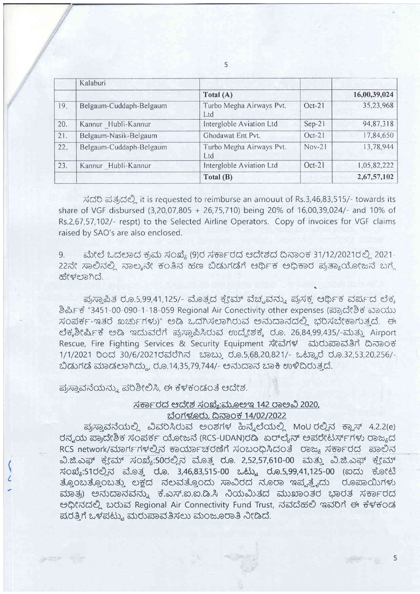|     | Kalaburi                |                                 |          |              |
|-----|-------------------------|---------------------------------|----------|--------------|
|     |                         | Total (A)                       |          | 16,00,39,024 |
| 19. | Belgaum-Cuddaph-Belgaum | Turbo Megha Airways Pvt.<br>Ltd | $Oct-21$ | 35,23,968    |
| 20. | Kannur Hubli-Kannur     | Intergloble Aviation Ltd        | $Sep-21$ | 94,87,318    |
| 21. | Belgaum-Nasik-Belgaum   | Ghodawat Ent Pvt.               | $Oct-21$ | 17,84,650    |
| 22. | Belgaum-Cuddaph-Belgaum | Turbo Megha Airways Pvt.<br>Ltd | $Nov-21$ | 13,78,944    |
| 23. | Kannur Hubli-Kannur     | Intergloble Aviation Ltd        | $Oct-21$ | 1,05,82,222  |
|     |                         | Total (B)                       |          | 2,67,57,102  |

ಸದರಿ ಪತ್ರದಲ್ಲಿ it is requested to reimburse an amouut of Rs.3,46,83,515/- towards its share of VGF disbursed (3,20,07,805 + 26,75,710) being 20% of 16,00,39,024/- and 10% of Rs.2,67,57,102/- respt) to the Selected Airline Operators. Copy of invoices for VGF claims raised by SAO's are also enclosed.

ಮೇಲೆ ಓದಲಾದ ಕ್ರಮ ಸಂಖ್ಯೆ (9)ರ ಸರ್ಕಾರದ ಆದೇಶದ ದಿನಾಂಕ 31/12/2021ರಲ್ಲಿ 2021-9. 22ನೇ ಸಾಲಿನಲ್ಲಿ ನಾಲ್ಕನೇ ಕಂತಿನ ಹಣ ಬಿಡುಗಡೆಗೆ ಆರ್ಥಿಕ ಅಧಿಕಾರ ಪ್ರತ್ಯಾಯೋಜನೆ ಬಗ್ಗೆ ಹೇಳಲಾಗಿದೆ.

ಪುಸ್ತಾಪಿತ ರೂ.5,99,41,125/- ಮೊತ್ತದ ಕ್ಲೇಮ್ ವೆಚ್ಚವನ್ನು ಪುಸಕ್ತ ಆರ್ಥಿಕ ವರ್ಷದ ಲೆಕ್ಕ ಶಿರ್ಪ್ರಿಕೆ "3451-00-090-1-18-059 Regional Air Conectivity other expenses (ಪ್ರಾದೇಶಿಕ ವಾಯು ಸಂಪರ್ಕ-ಇತರ ಖರ್ಚುಗಳು)" ಅಡಿ ಒದಗಿಸಲಾಗಿರುವ ಅನುದಾನದಲ್ಲಿ ಭರಿಸಬೇಕಾಗುತ್ತದೆ. ಈ ಲೆಕ್ಕಶೀರ್ಷಿಕೆ ಅಡಿ ಇದುವರೆಗೆ ಪ್ರಸ್ಥಾಪಿಸಿರುವ ಉದ್ದೇಶಕ್ಕೆ ರೂ. 26,84,99,435/-ಮತ್ತು Airport Rescue, Fire Fighting Services & Security Equipment ಸೇವೆಗಳ ಮರುಪಾವತಿಗೆ ದಿನಾಂಕ 1/1/2021 ರಿಂದ 30/6/2021ರವರೆಗಿನ ಬಾಬ್ತು ರೂ.5,68,20,821/- ಒಟ್ಟಾರೆ ರೂ.32,53,20,256/-ಬಿಡುಗಡೆ ಮಾಡಲಾಗಿದ್ದು, ರೂ.14,35,79,744/- ಅನುದಾನ ಬಾಕಿ ಉಳಿದಿರುತ್ತದೆ.

ಪ್ರಸ್ತಾವನೆಯನ್ನು ಪರಿಶೀಲಿಸಿ, ಈ ಕೆಳಕಂಡಂತೆ ಆದೇಶ.

## ಸರ್ಕಾರದ ಆದೇಶ ಸಂಖ್ಯೆ:ಮೂಅಇ 142 ರಾಅವಿ 2020, ಬೆಂಗಳೂರು, ದಿನಾಂಕ 14/02/2022

ಪ್ರಸ್ತಾವನೆಯಲ್ಲಿ ವಿವರಿಸಿರುವ ಅಂಶಗಳ ಹಿನ್ನೆಲೆಯಲ್ಲಿ MoU ರಲ್ಲಿನ ಕ್ಲಾಸ್ 4.2.2(e) ರನ್ಯಯ ಪ್ರಾದೇಶಿಕ ಸಂಪರ್ಕ ಯೋಜನೆ (RCS-UDAN)ರಡಿ ಏರ್ಲೈನ್ ಅಪರೇಟರ್ಸ್ಗಳು ರಾಜ್ಯದ RCS network/ಮಾರ್ಗಗಳಲ್ಲಿನ ಕಾರ್ಯಾಚರಣೆಗೆ ಸಂಬಂಧಿಸಿದಂತೆ ರಾಜ್ಯ ಸರ್ಕಾರದ ಪಾಲಿನ ವಿ.ಜಿ.ಎಫ್ ಕ್ಲೇಮ್ ಸಂಖ್ಯ:50ರಲ್ಲಿನ ಮೊತ್ತ ರೂ. 2,52,57,610-00 ಮತ್ತು ವಿ.ಜಿ.ಎಫ್ ಕ್ಲೇಮ್ ಸಂಖ್ಯೆ:51ರಲ್ಲಿನ ಮೊತ್ತ ರೂ. 3,46,83,515-00 ಒಟ್ಟು ರೂ.5,99,41,125-00 (ಐದು ಕೋಟಿ ತ್ತೊಂಬತ್ತೊಂಬತ್ತು ಲಕ್ಷದ ನಲವತ್ತೊಂದು ಸಾವಿರದ ನೂರಾ ಇಪ್ಪತ್ತೈದು ರೂಪಾಯಿಗಳು ಮಾತ್ರ) ಅನುದಾನವನ್ನು ಕೆ.ಎಸ್.ಐ.ಐ.ಡಿ.ಸಿ ನಿಯಮಿತದ ಮುಖಾಂತರ ಭಾರತ ಸರ್ಕಾರದ ಅಧೀನದಲ್ಲಿ ಬರುವ Regional Air Connectivity Fund Trust, ನವದೆಹಲಿ ಇವರಿಗೆ ಈ ಕೆಳಕಂಡ ಪರತ್ತಿಗೆ ಒಳಪಟ್ಟು ಮರುಪಾವತಿಸಲು ಮಂಜೂರಾತಿ ನೀಡಿದೆ.

5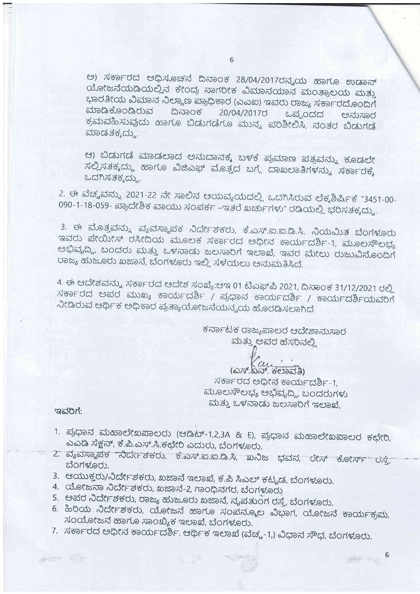ಅ) ಸರ್ಕಾರದ ಅಧಿಸೂಚನೆ ದಿನಾಂಕ 28/04/2017ರನ್ನಯ ಹಾಗೂ ಉಡಾನ್ ಯೋಜನೆಯಡಿಯಲ್ಲಿನ ಕೇಂದ್ರ ನಾಗರೀಕ ವಿಮಾನಯಾನ ಮಂತ್ರಾಲಯ ಮತ್ತು ಭಾರತೀಯ ವಿಮಾನ ನಿಲ್ದಾಣ ಪ್ರಾಧಿಕಾರ (ಎಎಐ) ಇವರು ರಾಜ್ಯ ಸರ್ಕಾರದೊಂದಿಗೆ ಮಾಡಿಕೊಂಡಿರುವ ದಿನಾಂಕ 20/04/2017び ಒಪ್ಪಂದದ ಅನುಸಾರ ಕ್ರಮವಹಿಸುವುದು ಹಾಗೂ ಬಿಡುಗಡೆಗೂ ಮುನ್ನ ಪರಿಶೀಲಿಸಿ, ನಂತರ ಬಿಡುಗಡೆ ಮಾಡತಕ್ಕದ್ದು.

ಆ) ಬಿಡುಗಡೆ ಮಾಡಲಾದ ಅನುದಾನಕ್ಕೆ ಬಳಕೆ ಪ್ರಮಾಣ ಪತ್ರವನ್ನು ಕೂಡಲೇ ಸಲ್ಲಿಸತಕ್ಕದ್ದು ಹಾಗೂ ವಿಜಿಎಫ್ ಮೊತ್ತದ ಬಗ್ಗೆ ದಾಖಲಾತಿಗಳನ್ನು ಸರ್ಕಾರಕ್ಕೆ ಒದಗಿಸತಕ್ಕದ್ದು.

2. ಈ ವೆಚ್ಚವನ್ನು 2021-22 ನೇ ಸಾಲಿನ ಆಯವ್ಯಯದಲ್ಲಿ ಒದಗಿಸಿರುವ ಲೆಕ್ಕಶಿರ್ಷಿಕೆ "3451-00-090-1-18-059- ಪ್ರಾದೇಶಿಕ ವಾಯು ಸಂಪರ್ಕ -ಇತರೆ ಖರ್ಚುಗಳು" ರಡಿಯಲ್ಲಿ ಭರಿಸತಕ್ಕದ್ದು.

3. ಈ ಮೊತ್ತವನ್ನು ವ್ಯವಸ್ಥಾಪಕ ನಿರ್ದೇಶಕರು, ಕೆ.ಎಸ್.ಐ.ಐ.ಡಿ.ಸಿ. ನಿಯಮಿತ ಬೆಂಗಳೂರು ಇವರು ಪೇಯೀಸ್ ರಸೀದಿಯ ಮೂಲಕ ಸರ್ಕಾರದ ಅಧೀನ ಕಾರ್ಯದರ್ಶಿ-1, ಮೂಲಸೌಲಭ್ಯ ಅಭಿವೃದ್ಧಿ, ಬಂದರು ಮತ್ತು ಒಳನಾಡು ಜಲಸಾರಿಗೆ ಇಲಾಖೆ, ಇವರ ಮೇಲು ರುಜುವಿನೊಂದಿಗೆ ರಾಜ್ಯ ಹುಜೂರು ಖಜಾನೆ, ಬೆಂಗಳೂರು ಇಲ್ಲಿ ಸೆಳೆಯಲು ಅನುಮತಿಸಿದೆ.

4. ಈ ಆದೇಶವನ್ನು ಸರ್ಕಾರದ ಆದೇಶ ಸಂಖ್ಯೆ:ಆಇ 01 ಟಿಎಫ್ಪಿ 2021, ದಿನಾಂಕ 31/12/2021 ರಲ್ಲಿ ಸರ್ಕಾರದ ಅಪರ ಮುಖ್ಯ ಕಾರ್ಯದರ್ಶಿ / ಪ್ರಧಾನ ಕಾರ್ಯದರ್ಶಿ / ಕಾರ್ಯದರ್ಶಿಯವರಿಗೆ ನೀಡಿರುವ ಆರ್ಥಿಕ ಅಧಿಕಾರ ಪ್ರತ್ಯಾಯೋಜನೆಯನ್ನಯ ಹೊರಡಿಸಲಾಗಿದೆ

> ಕರ್ನಾಟಕ ರಾಜ್ಯಪಾಲರ ಆದೇಶಾನುಸಾರ ಮತ್ತು ಅವರ ಹೆಸರಿನಲ್ಲಿ

> > $(\omega \pi \omega \omega \omega)$

ಸರ್ಕಾರದ ಅಧೀನ ಕಾರ್ಯದರ್ಶಿ-1, ಮೂಲಸೌಲಭ್ಯ ಅಭಿವೃದ್ಧಿ, ಬಂದರುಗಳು ಮತ್ತು ಒಳನಾಡು ಜಲಸಾರಿಗೆ ಇಲಾಖೆ,

6

ಇವರಿಗೆ:

- 1. ಪ್ರಧಾನ ಮಹಾಲೇಖಪಾಲರು (ಆಡಿಟ್-1,2,3A & E), ಪ್ರಧಾನ ಮಹಾಲೇಖಪಾಲರ ಕಛೇರಿ, ಎಎಡಿ ಸೆಕ್ಷನ್, ಕೆ.ಪಿ.ಎಸ್.ಸಿ.ಕಛೇರಿ ಎದುರು, ಬೆಂಗಳೂರು.
- 2. ವ್ಯವಸ್ಥಾಪಕ ನಿರ್ದೇಶಕರು, ಕೆ.ಎಸ್.ಐ.ಐ.ಡಿ.ಸಿ, ಖನಿಜ ಭವನ, ರೇಸ್ ಕೋರ್ಸ್ ರಸ್ತೆ, ಬೆಂಗಳೂರು.
- 3. ಆಯುಕ್ತರು/ನಿರ್ದೇಶಕರು, ಖಜಾನೆ ಇಲಾಖೆ, ಕೆ.ಪಿ ಸಿಎಲ್ ಕಟ್ಟಡ, ಬೆಂಗಳೂರು.
- 4. ಯೋಜನಾ ನಿರ್ದೇಶಕರು, ಖಜಾನೆ-2, ಗಾಂಧಿನಗರ, ಬೆಂಗಳೂರು.
- 5. ಅಪರ ನಿರ್ದೇಶಕರು, ರಾಜ್ಯ ಹುಜೂರು ಖಜಾನೆ, ನೃಪತುಂಗ ರಸ್ತೆ, ಬೆಂಗಳೂರು.
- 6. ಹಿರಿಯ ನಿರ್ದೇಶಕರು, ಯೋಜನೆ ಹಾಗೂ ಸಂಪನ್ಮೂಲ ವಿಭಾಗ, ಯೋಜನೆ ಕಾರ್ಯಕ್ರಮ, ಸಂಯೋಜನೆ ಹಾಗೂ ಸಾಂಖ್ಯಿಕ ಇಲಾಖೆ, ಬೆಂಗಳೂರು.
- 7. ಸರ್ಕಾರದ ಅಧೀನ ಕಾರ್ಯದರ್ಶಿ, ಆರ್ಥಿಕ ಇಲಾಖೆ (ವೆಚ್ಚ-1,) ವಿಧಾನ ಸೌಧ, ಬೆಂಗಳೂರು.